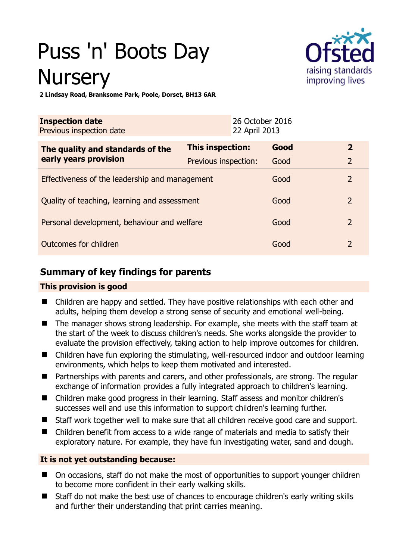# Puss 'n' Boots Day **Nursery**



**2 Lindsay Road, Branksome Park, Poole, Dorset, BH13 6AR** 

| <b>Inspection date</b><br>Previous inspection date        |                      | 26 October 2016<br>22 April 2013 |      |                |
|-----------------------------------------------------------|----------------------|----------------------------------|------|----------------|
| The quality and standards of the<br>early years provision | This inspection:     |                                  | Good | $\overline{2}$ |
|                                                           | Previous inspection: |                                  | Good | $\overline{2}$ |
| Effectiveness of the leadership and management            |                      |                                  | Good | $\overline{2}$ |
| Quality of teaching, learning and assessment              |                      |                                  | Good | $\overline{2}$ |
| Personal development, behaviour and welfare               |                      |                                  | Good | $\overline{2}$ |
| Outcomes for children                                     |                      |                                  | Good | $\overline{2}$ |

# **Summary of key findings for parents**

# **This provision is good**

- Children are happy and settled. They have positive relationships with each other and adults, helping them develop a strong sense of security and emotional well-being.
- The manager shows strong leadership. For example, she meets with the staff team at the start of the week to discuss children's needs. She works alongside the provider to evaluate the provision effectively, taking action to help improve outcomes for children.
- Children have fun exploring the stimulating, well-resourced indoor and outdoor learning environments, which helps to keep them motivated and interested.
- Partnerships with parents and carers, and other professionals, are strong. The regular exchange of information provides a fully integrated approach to children's learning.
- Children make good progress in their learning. Staff assess and monitor children's successes well and use this information to support children's learning further.
- Staff work together well to make sure that all children receive good care and support.
- Children benefit from access to a wide range of materials and media to satisfy their exploratory nature. For example, they have fun investigating water, sand and dough.

# **It is not yet outstanding because:**

- On occasions, staff do not make the most of opportunities to support younger children to become more confident in their early walking skills.
- Staff do not make the best use of chances to encourage children's early writing skills and further their understanding that print carries meaning.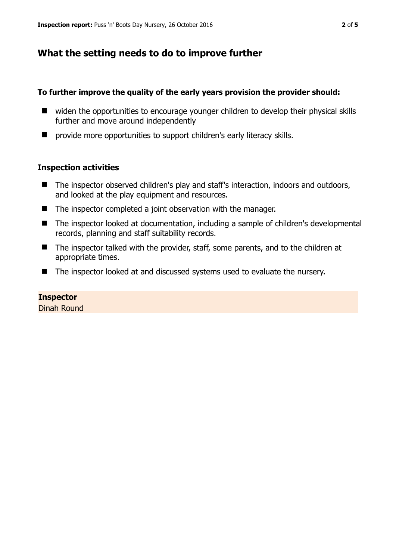# **What the setting needs to do to improve further**

## **To further improve the quality of the early years provision the provider should:**

- widen the opportunities to encourage younger children to develop their physical skills further and move around independently
- provide more opportunities to support children's early literacy skills.

## **Inspection activities**

- The inspector observed children's play and staff's interaction, indoors and outdoors, and looked at the play equipment and resources.
- The inspector completed a joint observation with the manager.
- The inspector looked at documentation, including a sample of children's developmental records, planning and staff suitability records.
- The inspector talked with the provider, staff, some parents, and to the children at appropriate times.
- The inspector looked at and discussed systems used to evaluate the nursery.

## **Inspector**

Dinah Round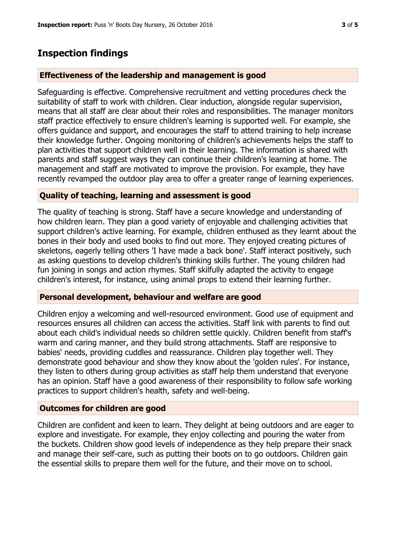# **Inspection findings**

#### **Effectiveness of the leadership and management is good**

Safeguarding is effective. Comprehensive recruitment and vetting procedures check the suitability of staff to work with children. Clear induction, alongside regular supervision, means that all staff are clear about their roles and responsibilities. The manager monitors staff practice effectively to ensure children's learning is supported well. For example, she offers guidance and support, and encourages the staff to attend training to help increase their knowledge further. Ongoing monitoring of children's achievements helps the staff to plan activities that support children well in their learning. The information is shared with parents and staff suggest ways they can continue their children's learning at home. The management and staff are motivated to improve the provision. For example, they have recently revamped the outdoor play area to offer a greater range of learning experiences.

## **Quality of teaching, learning and assessment is good**

The quality of teaching is strong. Staff have a secure knowledge and understanding of how children learn. They plan a good variety of enjoyable and challenging activities that support children's active learning. For example, children enthused as they learnt about the bones in their body and used books to find out more. They enjoyed creating pictures of skeletons, eagerly telling others 'I have made a back bone'. Staff interact positively, such as asking questions to develop children's thinking skills further. The young children had fun joining in songs and action rhymes. Staff skilfully adapted the activity to engage children's interest, for instance, using animal props to extend their learning further.

#### **Personal development, behaviour and welfare are good**

Children enjoy a welcoming and well-resourced environment. Good use of equipment and resources ensures all children can access the activities. Staff link with parents to find out about each child's individual needs so children settle quickly. Children benefit from staff's warm and caring manner, and they build strong attachments. Staff are responsive to babies' needs, providing cuddles and reassurance. Children play together well. They demonstrate good behaviour and show they know about the 'golden rules'. For instance, they listen to others during group activities as staff help them understand that everyone has an opinion. Staff have a good awareness of their responsibility to follow safe working practices to support children's health, safety and well-being.

#### **Outcomes for children are good**

Children are confident and keen to learn. They delight at being outdoors and are eager to explore and investigate. For example, they enjoy collecting and pouring the water from the buckets. Children show good levels of independence as they help prepare their snack and manage their self-care, such as putting their boots on to go outdoors. Children gain the essential skills to prepare them well for the future, and their move on to school.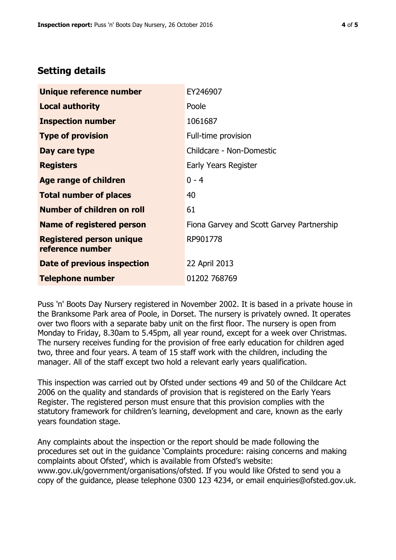# **Setting details**

| Unique reference number                             | EY246907                                  |  |
|-----------------------------------------------------|-------------------------------------------|--|
| <b>Local authority</b>                              | Poole                                     |  |
| <b>Inspection number</b>                            | 1061687                                   |  |
| <b>Type of provision</b>                            | Full-time provision                       |  |
| Day care type                                       | Childcare - Non-Domestic                  |  |
| <b>Registers</b>                                    | Early Years Register                      |  |
| <b>Age range of children</b>                        | $0 - 4$                                   |  |
| <b>Total number of places</b>                       | 40                                        |  |
| Number of children on roll                          | 61                                        |  |
| Name of registered person                           | Fiona Garvey and Scott Garvey Partnership |  |
| <b>Registered person unique</b><br>reference number | RP901778                                  |  |
| Date of previous inspection                         | 22 April 2013                             |  |
| <b>Telephone number</b>                             | 01202 768769                              |  |

Puss 'n' Boots Day Nursery registered in November 2002. It is based in a private house in the Branksome Park area of Poole, in Dorset. The nursery is privately owned. It operates over two floors with a separate baby unit on the first floor. The nursery is open from Monday to Friday, 8.30am to 5.45pm, all year round, except for a week over Christmas. The nursery receives funding for the provision of free early education for children aged two, three and four years. A team of 15 staff work with the children, including the manager. All of the staff except two hold a relevant early years qualification.

This inspection was carried out by Ofsted under sections 49 and 50 of the Childcare Act 2006 on the quality and standards of provision that is registered on the Early Years Register. The registered person must ensure that this provision complies with the statutory framework for children's learning, development and care, known as the early years foundation stage.

Any complaints about the inspection or the report should be made following the procedures set out in the guidance 'Complaints procedure: raising concerns and making complaints about Ofsted', which is available from Ofsted's website: www.gov.uk/government/organisations/ofsted. If you would like Ofsted to send you a copy of the guidance, please telephone 0300 123 4234, or email enquiries@ofsted.gov.uk.